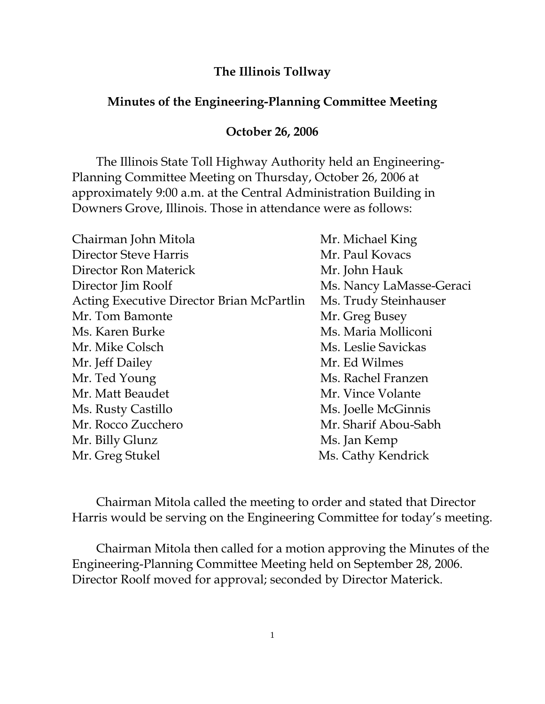## **The Illinois Tollway**

## **Minutes of the Engineering-Planning Committee Meeting**

## **October 26, 2006**

 The Illinois State Toll Highway Authority held an Engineering-Planning Committee Meeting on Thursday, October 26, 2006 at approximately 9:00 a.m. at the Central Administration Building in Downers Grove, Illinois. Those in attendance were as follows:

| Chairman John Mitola                      | Mr. Michael King         |
|-------------------------------------------|--------------------------|
| Director Steve Harris                     | Mr. Paul Kovacs          |
| Director Ron Materick                     | Mr. John Hauk            |
| Director Jim Roolf                        | Ms. Nancy LaMasse-Geraci |
| Acting Executive Director Brian McPartlin | Ms. Trudy Steinhauser    |
| Mr. Tom Bamonte                           | Mr. Greg Busey           |
| Ms. Karen Burke                           | Ms. Maria Molliconi      |
| Mr. Mike Colsch                           | Ms. Leslie Savickas      |
| Mr. Jeff Dailey                           | Mr. Ed Wilmes            |
| Mr. Ted Young                             | Ms. Rachel Franzen       |
| Mr. Matt Beaudet                          | Mr. Vince Volante        |
| Ms. Rusty Castillo                        | Ms. Joelle McGinnis      |
| Mr. Rocco Zucchero                        | Mr. Sharif Abou-Sabh     |
| Mr. Billy Glunz                           | Ms. Jan Kemp             |
| Mr. Greg Stukel                           | Ms. Cathy Kendrick       |

 Chairman Mitola called the meeting to order and stated that Director Harris would be serving on the Engineering Committee for today's meeting.

 Chairman Mitola then called for a motion approving the Minutes of the Engineering-Planning Committee Meeting held on September 28, 2006. Director Roolf moved for approval; seconded by Director Materick.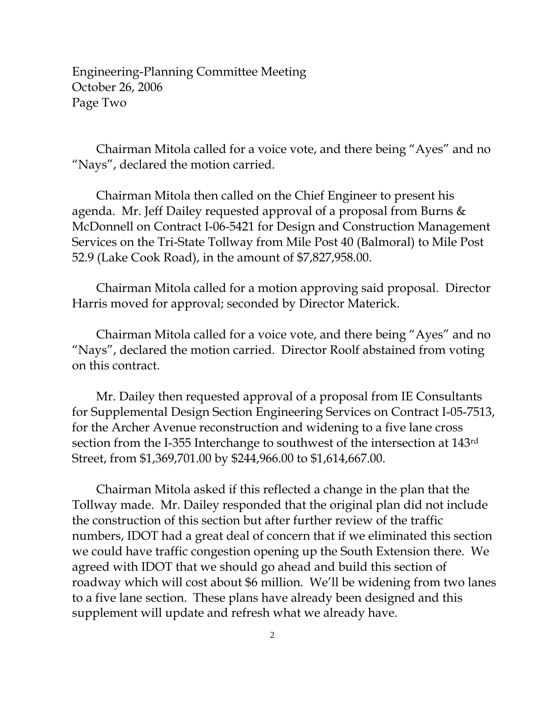Engineering-Planning Committee Meeting October 26, 2006 Page Two

 Chairman Mitola called for a voice vote, and there being "Ayes" and no "Nays", declared the motion carried.

 Chairman Mitola then called on the Chief Engineer to present his agenda. Mr. Jeff Dailey requested approval of a proposal from Burns & McDonnell on Contract I-06-5421 for Design and Construction Management Services on the Tri-State Tollway from Mile Post 40 (Balmoral) to Mile Post 52.9 (Lake Cook Road), in the amount of \$7,827,958.00.

 Chairman Mitola called for a motion approving said proposal. Director Harris moved for approval; seconded by Director Materick.

 Chairman Mitola called for a voice vote, and there being "Ayes" and no "Nays", declared the motion carried. Director Roolf abstained from voting on this contract.

 Mr. Dailey then requested approval of a proposal from IE Consultants for Supplemental Design Section Engineering Services on Contract I-05-7513, for the Archer Avenue reconstruction and widening to a five lane cross section from the I-355 Interchange to southwest of the intersection at 143rd Street, from \$1,369,701.00 by \$244,966.00 to \$1,614,667.00.

 Chairman Mitola asked if this reflected a change in the plan that the Tollway made. Mr. Dailey responded that the original plan did not include the construction of this section but after further review of the traffic numbers, IDOT had a great deal of concern that if we eliminated this section we could have traffic congestion opening up the South Extension there. We agreed with IDOT that we should go ahead and build this section of roadway which will cost about \$6 million. We'll be widening from two lanes to a five lane section. These plans have already been designed and this supplement will update and refresh what we already have.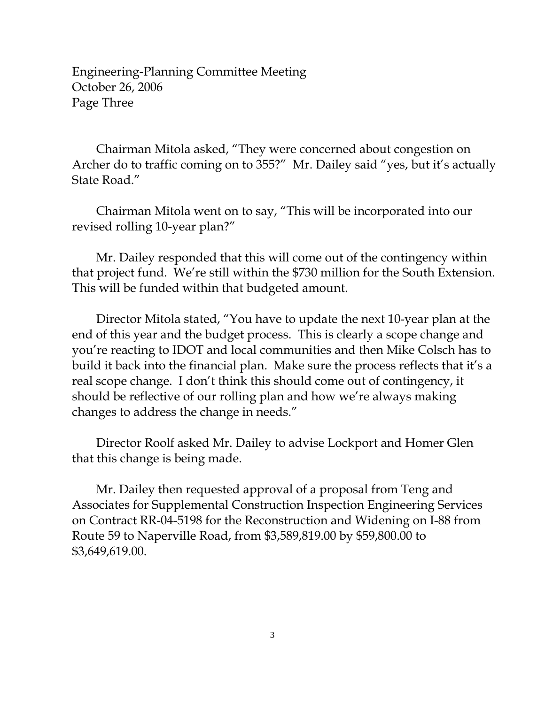Engineering-Planning Committee Meeting October 26, 2006 Page Three

 Chairman Mitola asked, "They were concerned about congestion on Archer do to traffic coming on to 355?" Mr. Dailey said "yes, but it's actually State Road."

 Chairman Mitola went on to say, "This will be incorporated into our revised rolling 10-year plan?"

 Mr. Dailey responded that this will come out of the contingency within that project fund. We're still within the \$730 million for the South Extension. This will be funded within that budgeted amount.

 Director Mitola stated, "You have to update the next 10-year plan at the end of this year and the budget process. This is clearly a scope change and you're reacting to IDOT and local communities and then Mike Colsch has to build it back into the financial plan. Make sure the process reflects that it's a real scope change. I don't think this should come out of contingency, it should be reflective of our rolling plan and how we're always making changes to address the change in needs."

 Director Roolf asked Mr. Dailey to advise Lockport and Homer Glen that this change is being made.

 Mr. Dailey then requested approval of a proposal from Teng and Associates for Supplemental Construction Inspection Engineering Services on Contract RR-04-5198 for the Reconstruction and Widening on I-88 from Route 59 to Naperville Road, from \$3,589,819.00 by \$59,800.00 to \$3,649,619.00.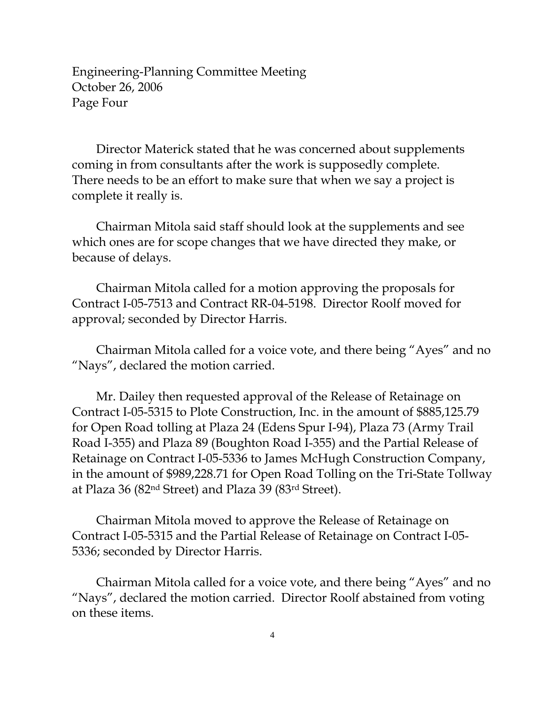Engineering-Planning Committee Meeting October 26, 2006 Page Four

 Director Materick stated that he was concerned about supplements coming in from consultants after the work is supposedly complete. There needs to be an effort to make sure that when we say a project is complete it really is.

 Chairman Mitola said staff should look at the supplements and see which ones are for scope changes that we have directed they make, or because of delays.

 Chairman Mitola called for a motion approving the proposals for Contract I-05-7513 and Contract RR-04-5198. Director Roolf moved for approval; seconded by Director Harris.

 Chairman Mitola called for a voice vote, and there being "Ayes" and no "Nays", declared the motion carried.

 Mr. Dailey then requested approval of the Release of Retainage on Contract I-05-5315 to Plote Construction, Inc. in the amount of \$885,125.79 for Open Road tolling at Plaza 24 (Edens Spur I-94), Plaza 73 (Army Trail Road I-355) and Plaza 89 (Boughton Road I-355) and the Partial Release of Retainage on Contract I-05-5336 to James McHugh Construction Company, in the amount of \$989,228.71 for Open Road Tolling on the Tri-State Tollway at Plaza 36 (82nd Street) and Plaza 39 (83rd Street).

 Chairman Mitola moved to approve the Release of Retainage on Contract I-05-5315 and the Partial Release of Retainage on Contract I-05- 5336; seconded by Director Harris.

 Chairman Mitola called for a voice vote, and there being "Ayes" and no "Nays", declared the motion carried. Director Roolf abstained from voting on these items.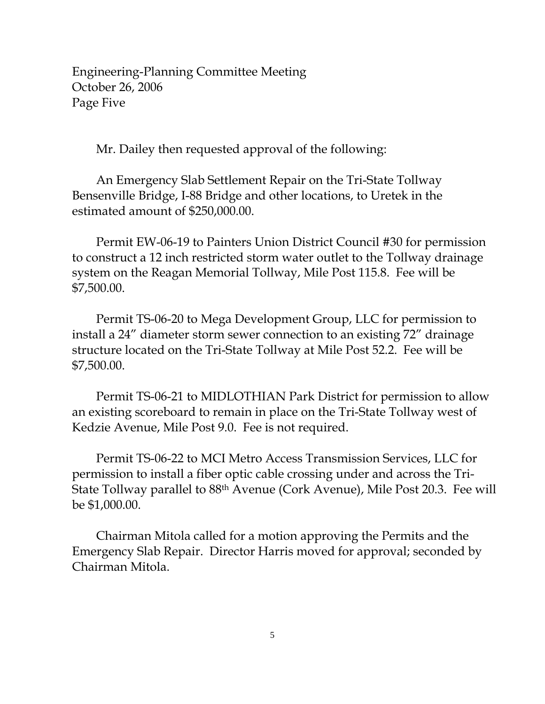Engineering-Planning Committee Meeting October 26, 2006 Page Five

Mr. Dailey then requested approval of the following:

 An Emergency Slab Settlement Repair on the Tri-State Tollway Bensenville Bridge, I-88 Bridge and other locations, to Uretek in the estimated amount of \$250,000.00.

 Permit EW-06-19 to Painters Union District Council #30 for permission to construct a 12 inch restricted storm water outlet to the Tollway drainage system on the Reagan Memorial Tollway, Mile Post 115.8. Fee will be \$7,500.00.

 Permit TS-06-20 to Mega Development Group, LLC for permission to install a 24" diameter storm sewer connection to an existing 72" drainage structure located on the Tri-State Tollway at Mile Post 52.2. Fee will be \$7,500.00.

 Permit TS-06-21 to MIDLOTHIAN Park District for permission to allow an existing scoreboard to remain in place on the Tri-State Tollway west of Kedzie Avenue, Mile Post 9.0. Fee is not required.

 Permit TS-06-22 to MCI Metro Access Transmission Services, LLC for permission to install a fiber optic cable crossing under and across the Tri-State Tollway parallel to 88th Avenue (Cork Avenue), Mile Post 20.3. Fee will be \$1,000.00.

 Chairman Mitola called for a motion approving the Permits and the Emergency Slab Repair. Director Harris moved for approval; seconded by Chairman Mitola.